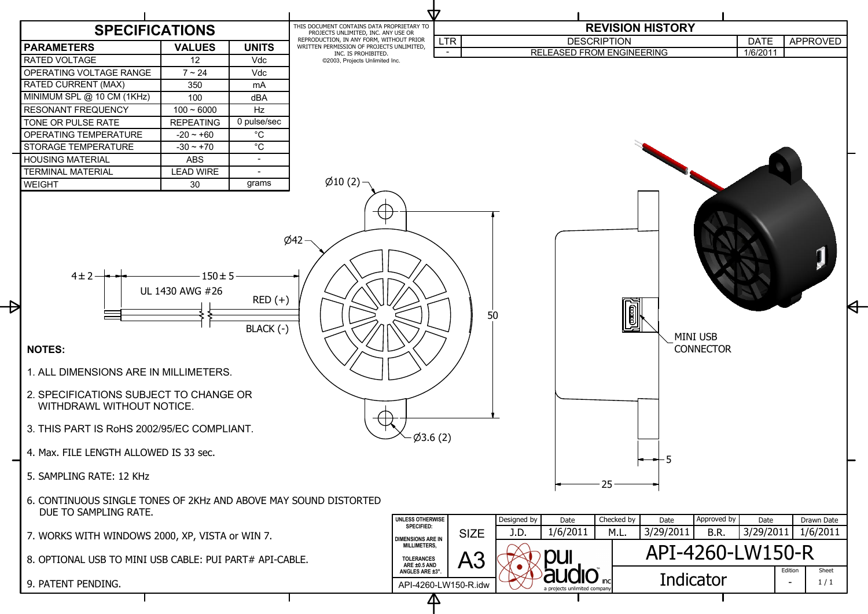